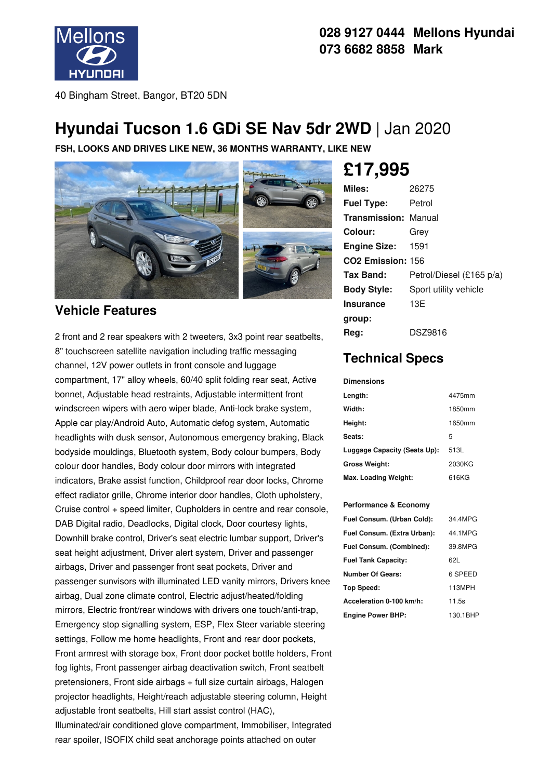

### **028 9127 0444 Mellons Hyundai 073 6682 8858 Mark**

40 Bingham Street, Bangor, BT20 5DN

## **Hyundai Tucson 1.6 GDi SE Nav 5dr 2WD** | Jan 2020

**FSH, LOOKS AND DRIVES LIKE NEW, 36 MONTHS WARRANTY, LIKE NEW**



### **Vehicle Features**

2 front and 2 rear speakers with 2 tweeters, 3x3 point rear seatbelts, 8" touchscreen satellite navigation including traffic messaging channel, 12V power outlets in front console and luggage compartment, 17" alloy wheels, 60/40 split folding rear seat, Active bonnet, Adjustable head restraints, Adjustable intermittent front windscreen wipers with aero wiper blade, Anti-lock brake system, Apple car play/Android Auto, Automatic defog system, Automatic headlights with dusk sensor, Autonomous emergency braking, Black bodyside mouldings, Bluetooth system, Body colour bumpers, Body colour door handles, Body colour door mirrors with integrated indicators, Brake assist function, Childproof rear door locks, Chrome effect radiator grille, Chrome interior door handles, Cloth upholstery, Cruise control + speed limiter, Cupholders in centre and rear console, DAB Digital radio, Deadlocks, Digital clock, Door courtesy lights, Downhill brake control, Driver's seat electric lumbar support, Driver's seat height adjustment, Driver alert system, Driver and passenger airbags, Driver and passenger front seat pockets, Driver and passenger sunvisors with illuminated LED vanity mirrors, Drivers knee airbag, Dual zone climate control, Electric adjust/heated/folding mirrors, Electric front/rear windows with drivers one touch/anti-trap, Emergency stop signalling system, ESP, Flex Steer variable steering settings, Follow me home headlights, Front and rear door pockets, Front armrest with storage box, Front door pocket bottle holders, Front fog lights, Front passenger airbag deactivation switch, Front seatbelt pretensioners, Front side airbags + full size curtain airbags, Halogen projector headlights, Height/reach adjustable steering column, Height adjustable front seatbelts, Hill start assist control (HAC), Illuminated/air conditioned glove compartment, Immobiliser, Integrated rear spoiler, ISOFIX child seat anchorage points attached on outer

# **£17,995**

| Miles:                        | 26275                    |
|-------------------------------|--------------------------|
| <b>Fuel Type:</b>             | Petrol                   |
| <b>Transmission: Manual</b>   |                          |
| Colour:                       | Grev                     |
| <b>Engine Size: 1591</b>      |                          |
| CO <sub>2</sub> Emission: 156 |                          |
| Tax Band:                     | Petrol/Diesel (£165 p/a) |
| <b>Body Style:</b>            | Sport utility vehicle    |
| <b>Insurance</b>              | 13E                      |
| group:                        |                          |
| Reg:                          | <b>DSZ9816</b>           |

### **Technical Specs**

#### **Dimensions**

| Length:                      | 4475mm |
|------------------------------|--------|
| Width:                       | 1850mm |
| Height:                      | 1650mm |
| Seats:                       | 5      |
| Luggage Capacity (Seats Up): | 513L   |
| <b>Gross Weight:</b>         | 2030KG |
| Max. Loading Weight:         | 616KG  |

#### **Performance & Economy**

| Fuel Consum. (Urban Cold):  | 34 4MPG  |
|-----------------------------|----------|
| Fuel Consum. (Extra Urban): | 44 1MPG  |
| Fuel Consum. (Combined):    | 39.8MPG  |
| <b>Fuel Tank Capacity:</b>  | 621.     |
| <b>Number Of Gears:</b>     | 6 SPEED  |
| Top Speed:                  | 113MPH   |
| Acceleration 0-100 km/h:    | 11.5s    |
| <b>Engine Power BHP:</b>    | 130.1BHP |